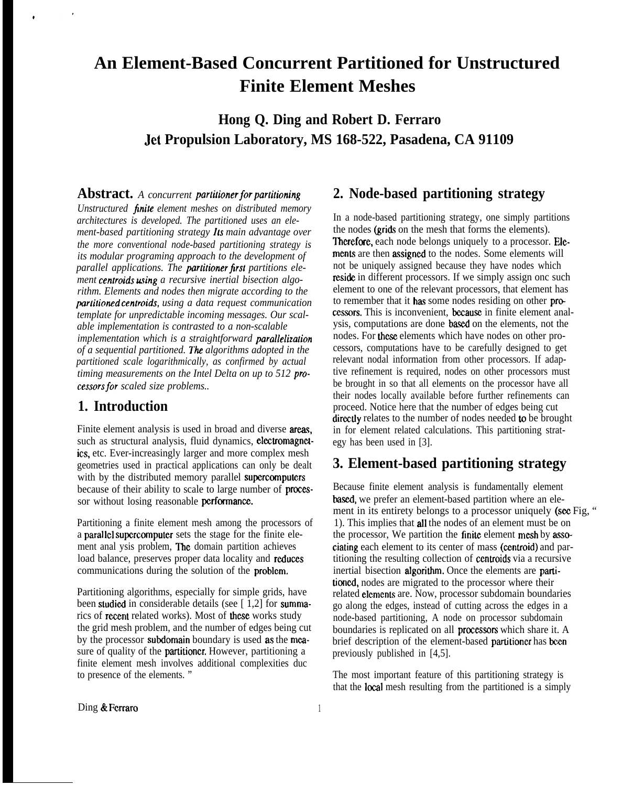# **An Element-Based Concurrent Partitioned for Unstructured Finite Element Meshes**

**Hong Q. Ding and Robert D. Ferraro Jet Propulsion Laboratory, MS 168-522, Pasadena, CA 91109**

**Abstract.** A concurrent **partitioner** for **partitioning** 

*Unstructured finite element meshes on distributed memory architectures is developed. The partitioned uses an element-based partitioning strategy 1[s main advantage over the more conventional node-based partitioning strategy is its modular programing approach to the development of* parallel applications. The **partitioner first** partitions element **centroids using** a recursive inertial bisection algo*rithm. Elements and nodes then migrate according to the partitioned centroids, using a data request communication template for unpredictable incoming messages. Our scalable implementation is contrasted to a non-scalable implementation which is a straightforward parallelization of a sequential partitioned. The algorithms adopted in the partitioned scale logarithmically, as confirmed by actual timing measurements on the Intel Delta on up to 512 processorsfor scaled size problems..*

#### **1. Introduction**

Finite element analysis is used in broad and diverse areas, such as structural analysis, fluid dynamics, electromagnetics, etc. Ever-increasingly larger and more complex mesh geometries used in practical applications can only be dealt with by the distributed memory parallel supercomputers because of their ability to scale to large number of **proces**sor without losing reasonable performance.

Partitioning a finite element mesh among the processors of a parallel supercomputer sets the stage for the finite element anal ysis problem, **The** domain partition achieves load balance, preserves proper data locality and reduces communications during the solution of the problcm.

Partitioning algorithms, especially for simple grids, have been studied in considerable details (see  $\lceil 1,2 \rceil$  for summarics of **recent** related works). Most of **these** works study the grid mesh problem, and the number of edges being cut by the processor subdomain boundary is used as the measure of quality of the partitioncr. However, partitioning a finite element mesh involves additional complexities duc to presence of the elements. "

## **2. Node-based partitioning strategy**

In a node-based partitioning strategy, one simply partitions the nodes (grids on the mesh that forms the elements). Therefore, each node belongs uniquely to a processor. Elements are then assigned to the nodes. Some elements will not be uniquely assigned because they have nodes which reside in different processors. If we simply assign one such element to one of the relevant processors, that element has to remember that it has some nodes residing on other processors. This is inconvenient, because in finite element analysis, computations are done based on the elements, not the nodes. For these elements which have nodes on other processors, computations have to be carefully designed to get relevant nodal information from other processors. If adaptive refinement is required, nodes on other processors must be brought in so that all elements on the processor have all their nodes locally available before further refinements can proceed. Notice here that the number of edges being cut directly relates to the number of nodes needed to be brought in for element related calculations. This partitioning strategy has been used in [3].

#### **3. Element-based partitioning strategy**

Because finite element analysis is fundamentally element based, we prefer an element-based partition where an element in its entirety belongs to a processor uniquely (see Fig. " 1). This implies that all the nodes of an element must be on the processor, We partition the finite element mesh by associating each element to its center of mass (centroid) and partitioning the resulting collection of centroids via a recursive inertial bisection algorithm. Once the elements are partitioned, nodes are migrated to the processor where their related elements are. Now, processor subdomain boundaries go along the edges, instead of cutting across the edges in a node-based partitioning, A node on processor subdomain boundaries is replicated on all **processors** which share it. A brief description of the element-based partitioner has been previously published in [4,5].

The most important feature of this partitioning strategy is that the local mesh resulting from the partitioned is a simply

Ding & Ferraro 1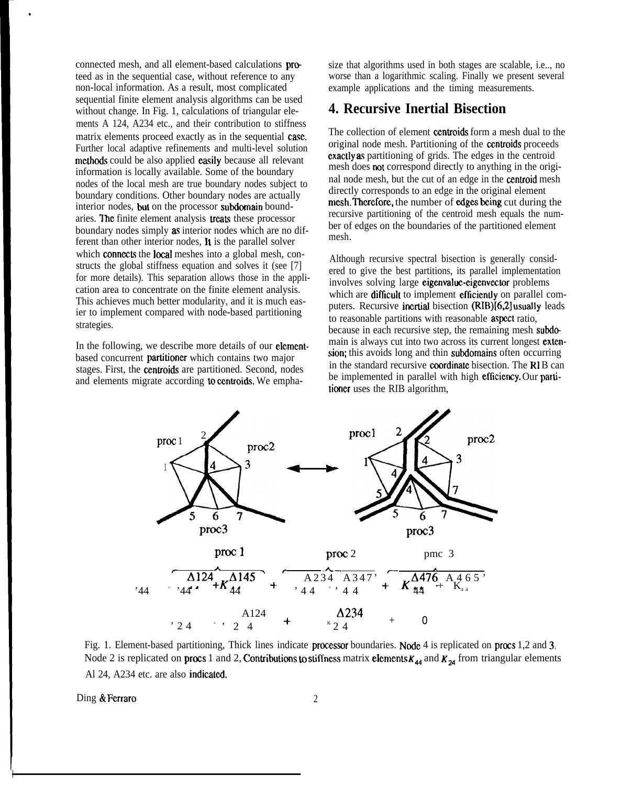connected mesh, and all element-based calculations proteed as in the sequential case, without reference to any non-local information. As a result, most complicated sequential finite element analysis algorithms can be used without change. In Fig. 1, calculations of triangular elements A 124, A234 etc., and their contribution to stiffness matrix elements proceed exactly as in the sequential case. Further local adaptive refinements and multi-level solution methods could be also applied easily because all relevant information is locally available. Some of the boundary nodes of the local mesh are true boundary nodes subject to boundary conditions. Other boundary nodes are actually interior nodes, but on the processor subdomain boundaries. The finite element analysis treats these processor boundary nodes simply as interior nodes which are no different than other interior nodes, It is the parallel solver which **connects** the **local** meshes into a global mesh, constructs the global stiffness equation and solves it (see [7] for more details). This separation allows those in the application area to concentrate on the finite element analysis. This achieves much better modularity, and it is much easier to implement compared with node-based partitioning strategies.

.

In the following, we describe more details of our **element**based concurrent partitioncr which contains two major stages. First, the centroids are partitioned. Second, nodes and elements migrate according to centroids. We empha-

size that algorithms used in both stages are scalable, i.e.., no worse than a logarithmic scaling. Finally we present several example applications and the timing measurements.

#### **4. Recursive Inertial Bisection**

The collection of element centroids form a mesh dual to the original node mesh. Partitioning of the czntroids proceeds cxaclly as partitioning of grids. The edges in the centroid mesh does not correspond directly to anything in the original node mesh, but the cut of an edge in the centroid mesh directly corresponds to an edge in the original element mesh. Therefore, the number of edges being cut during the recursive partitioning of the centroid mesh equals the number of edges on the boundaries of the partitioned element mesh.

Although recursive spectral bisection is generally considered to give the best partitions, its parallel implementation involves solving large eigenvaluc-eigenvector problems which are difficult to implement efficiently on parallel computers. Recursive incrtial bisection (RIB)[6,2] usually leads to reasonable partitions with reasonable **aspect** ratio, because in each recursive step, the remaining mesh subdo main is always cut into two across its current longest extension; this avoids long and thin subdomains often occurring in the standard recursive coordinate bisection. The  $RIB$  can be implemented in parallel with high efficiency. Our partitioner uses the RIB algorithm,



Fig. 1. Element-based partitioning, Thick lines indicate processor boundaries. Node 4 is replicated on procs 1,2 and 3. Node 2 is replicated on procs 1 and 2, Contributions to stiffness matrix elements  $K_{44}$  and  $K_{24}$  from triangular elements Al 24, A234 etc. are also indicated.

Ding & Ferraro 2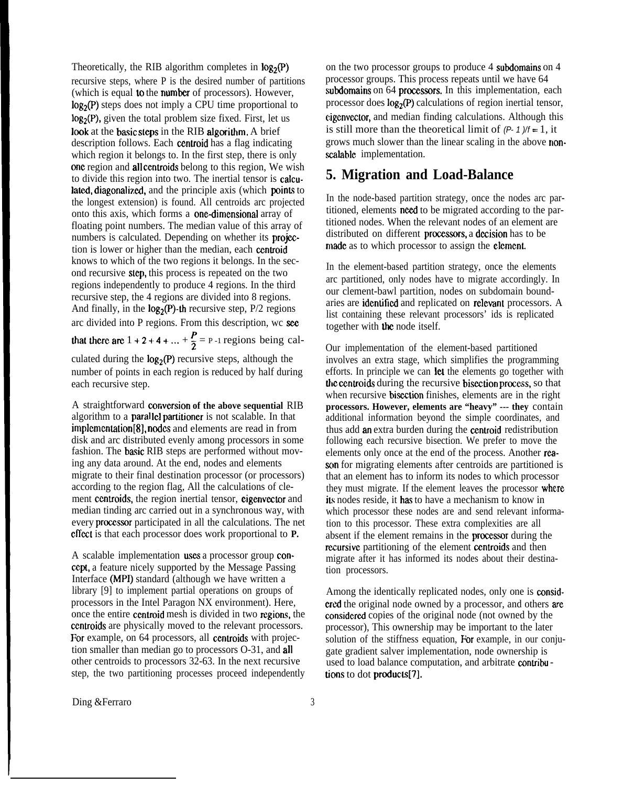Theoretically, the RIB algorithm completes in  $log_2(P)$ recursive steps, where P is the desired number of partitions (which is equal to the number of processors). However,  $log_2(P)$  steps does not imply a CPU time proportional to  $log<sub>2</sub>(P)$ , given the total problem size fixed. First, let us look at the basic steps in the RIB algorithm. A brief description follows. Each centroid has a flag indicating which region it belongs to. In the first step, there is only onc region and all centroids belong to this region, We wish to divide this region into two. The inertial tensor is calculated, diagonalized, and the principle axis (which points to the longest extension) is found. All centroids arc projected onto this axis, which forms a one-dimensional array of floating point numbers. The median value of this array of numbers is calculated. Depending on whether its **projec**tion is lower or higher than the median, each centroid knows to which of the two regions it belongs. In the second recursive step, this process is repeated on the two regions independently to produce 4 regions. In the third recursive step, the 4 regions are divided into 8 regions. And finally, in the  $log_2(P)$ -th recursive step,  $P/2$  regions arc divided into P regions. From this description, wc sce

that there are  $1 + 2 + 4 + ... + \frac{P}{2} = P - 1$  regions being cal-

culated during the  $log_2(P)$  recursive steps, although the number of points in each region is reduced by half during each recursive step.

A straightforward **corivcrsion of the above sequential** RIB algorithm to a **paral lel partitioner** is not scalable. In that implementation[8], nodes and elements are read in from disk and arc distributed evenly among processors in some fashion. The basic RIB steps are performed without moving any data around. At the end, nodes and elements migrate to their final destination processor (or processors) according to the region flag, All the calculations of clement ccntroids, the region inertial tensor, eigenvector and median tinding arc carried out in a synchronous way, with every proczssor participated in all the calculations. The net effect is that each processor does work proportional to **P.** 

A scalable implementation wses a processor group concept, a feature nicely supported by the Message Passing Interface (MPI) standard (although we have written a library [9] to implement partial operations on groups of processors in the Intel Paragon NX environment). Here, once the entire ccntroid mesh is divided in two regions, the centroids are physically moved to the relevant processors. For example, on 64 processors, all centroids with projection smaller than median go to processors O-31, and all other centroids to processors 32-63. In the next recursive step, the two partitioning processes proceed independently

on the two processor groups to produce 4 subdomains on 4 processor groups. This process repeats until we have 64 subdomains on 64 processors. In this implementation, each processor does  $log_2(P)$  calculations of region inertial tensor, cigenvector, and median finding calculations. Although this is still more than the theoretical limit of *(P- 1 )/f =* 1, it grows much slower than the linear scaling in the above nonscalable implementation.

### **5. Migration and Load-Balance**

In the node-based partition strategy, once the nodes arc partitioned, elements need to be migrated according to the partitioned nodes. When the relevant nodes of an element are distributed on different **processors**, a **decision** has to be made as to which processor to assign the element.

In the element-based partition strategy, once the elements arc partitioned, only nodes have to migrate accordingly. In our clement-bawl partition, nodes on subdomain boundaries are identified and replicated on relevant processors. A list containing these relevant processors' ids is replicated together with the node itself.

Our implementation of the element-based partitioned involves an extra stage, which simplifies the programming efforts. In principle we can let the elements go together with the centroids during the recursive bisection process, so that when recursive bisection finishes, elements are in the right **processors. However, elements are "heavy" --- they** contain additional information beyond the simple coordinates, and thus add an extra burden during the centroid redistribution following each recursive bisection. We prefer to move the elements only once at the end of the process. Another reason for migrating elements after centroids are partitioned is that an element has to inform its nodes to which processor they must migrate. If the element leaves the processor where its nodes reside, it has to have a mechanism to know in which processor these nodes are and send relevant information to this processor. These extra complexities are all absent if the element remains in the precessor during the recursive partitioning of the element centroids and then migrate after it has informed its nodes about their destination processors.

Among the identically replicated nodes, only one is considered the original node owned by a processor, and others are considered copies of the original node (not owned by the processor), This ownership may be important to the later solution of the stiffness equation. For example, in our conjugate gradient salver implementation, node ownership is used to load balance computation, and arbitrate contribu tions to dot products[7].

Ding &Ferraro 3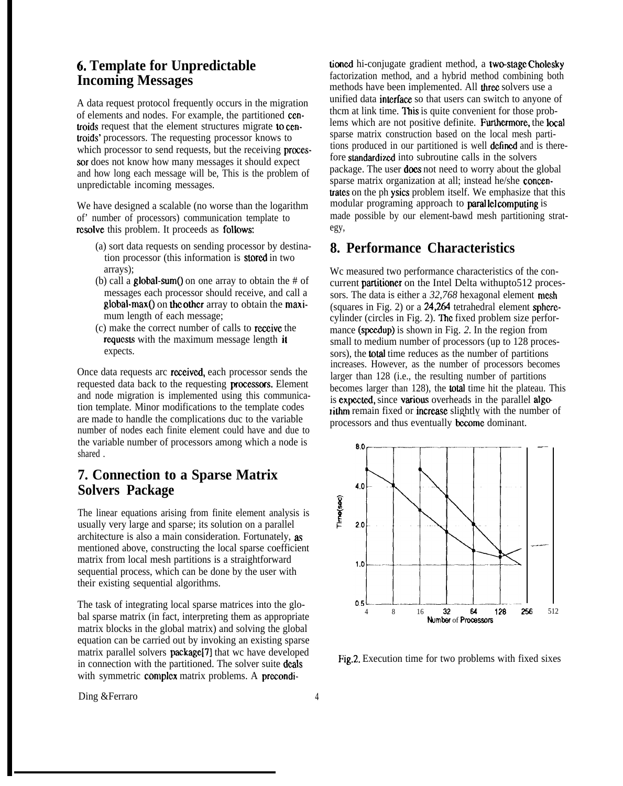## **6. Template for Unpredictable Incoming Messages**

A data request protocol frequently occurs in the migration of elements and nodes. For example, the partitioned centroids request that the element structures migrate to centroids' processors. The requesting processor knows to which processor to send requests, but the receiving **proces**sor does not know how many messages it should expect and how long each message will be, This is the problem of unpredictable incoming messages.

We have designed a scalable (no worse than the logarithm of' number of processors) communication template to resolve this problem. It proceeds as follows:

- (a) sort data requests on sending processor by destination processor (this information is siorcd in two arrays);
- (b) call a  $global-sum()$  on one array to obtain the # of messages each processor should receive, and call a  $global-max()$  on the other array to obtain the maximum length of each message;
- (c) make the correct number of calls to rcceivc the requests with the maximum message length it expects.

Once data requests arc rczeivcd, each processor sends the requested data back to the requesting processors. Element and node migration is implemented using this communication template. Minor modifications to the template codes are made to handle the complications duc to the variable number of nodes each finite element could have and due to the variable number of processors among which a node is shared .

## **7. Connection to a Sparse Matrix Solvers Package**

The linear equations arising from finite element analysis is usually very large and sparse; its solution on a parallel architecture is also a main consideration. Fortunately, as mentioned above, constructing the local sparse coefficient matrix from local mesh partitions is a straightforward sequential process, which can be done by the user with their existing sequential algorithms.

The task of integrating local sparse matrices into the global sparse matrix (in fact, interpreting them as appropriate matrix blocks in the global matrix) and solving the global equation can be carried out by invoking an existing sparse matrix parallel solvers package[7] that wc have developed in connection with the partitioned. The solver suite deals with symmetric complex matrix problems. A preconditioned hi-conjugate gradient method, a two-stage Cholesky factorization method, and a hybrid method combining both methods have been implemented. All three solvers use a unified data interface so that users can switch to anyone of thcm at link time. This is quite convenient for those problems which are not positive definite. Furthermore, the local sparse matrix construction based on the local mesh partitions produced in our partitioned is well defined and is therefore standardized into subroutine calls in the solvers package. The user **does** not need to worry about the global sparse matrix organization at all; instead he/she concentrates on the ph ysics problem itself. We emphasize that this modular programing approach to **parallel computing** is made possible by our element-bawd mesh partitioning strategy,

#### **8. Performance Characteristics**

Wc measured two performance characteristics of the concurrent **partitioner** on the Intel Delta withupto512 processors. The data is either a 32,768 hexagonal element mesh (squares in Fig. 2) or a  $24,264$  tetrahedral element spherecylinder (circles in Fig. 2). The fixed problem size performance (spcdup) is shown in Fig. *2.* In the region from small to medium number of processors (up to 128 processors), the total time reduces as the number of partitions increases. However, as the number of processors becomes larger than 128 (i.e., the resulting number of partitions becomes larger than 128), the total time hit the plateau. This is expected, since various overheads in the parallel algorithm remain fixed or increase slightly with the number of processors and thus eventually **become** dominant.



Fig.2. Execution time for two problems with fixed sixes

Ding &Ferraro